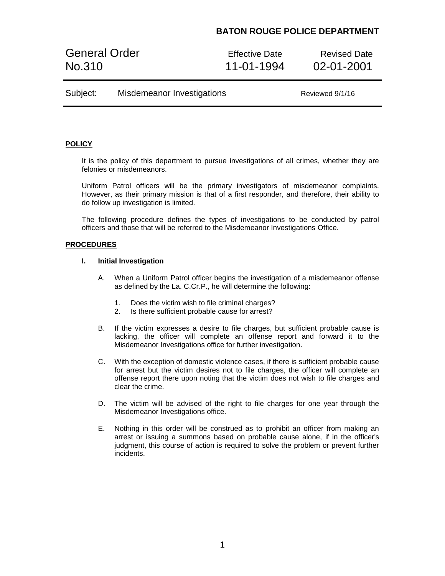# **BATON ROUGE POLICE DEPARTMENT**

General Order **Effective Date** Revised Date No.310 11-01-1994 02-01-2001

| Subject: | Misdemeanor Investigations | Reviewed 9/1/16 |
|----------|----------------------------|-----------------|
|----------|----------------------------|-----------------|

### **POLICY**

It is the policy of this department to pursue investigations of all crimes, whether they are felonies or misdemeanors.

Uniform Patrol officers will be the primary investigators of misdemeanor complaints. However, as their primary mission is that of a first responder, and therefore, their ability to do follow up investigation is limited.

The following procedure defines the types of investigations to be conducted by patrol officers and those that will be referred to the Misdemeanor Investigations Office.

### **PROCEDURES**

#### **I. Initial Investigation**

- A. When a Uniform Patrol officer begins the investigation of a misdemeanor offense as defined by the La. C.Cr.P., he will determine the following:
	- 1. Does the victim wish to file criminal charges?
	- 2. Is there sufficient probable cause for arrest?
- B. If the victim expresses a desire to file charges, but sufficient probable cause is lacking, the officer will complete an offense report and forward it to the Misdemeanor Investigations office for further investigation.
- C. With the exception of domestic violence cases, if there is sufficient probable cause for arrest but the victim desires not to file charges, the officer will complete an offense report there upon noting that the victim does not wish to file charges and clear the crime.
- D. The victim will be advised of the right to file charges for one year through the Misdemeanor Investigations office.
- E. Nothing in this order will be construed as to prohibit an officer from making an arrest or issuing a summons based on probable cause alone, if in the officer's judgment, this course of action is required to solve the problem or prevent further incidents.